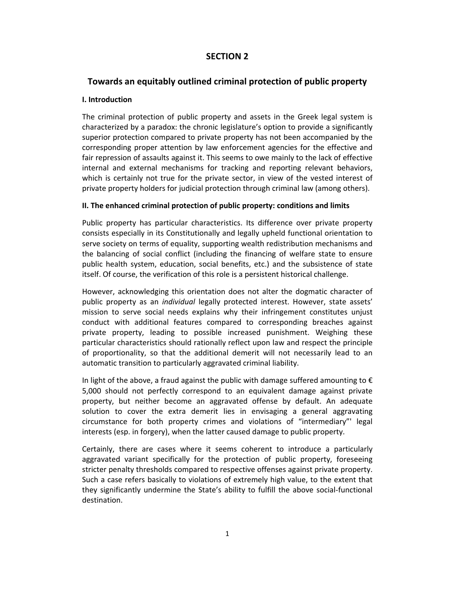# **SECTION 2**

# **Towards an equitably outlined criminal protection of public property**

### **Ι. Introduction**

The criminal protection of public property and assets in the Greek legal system is characterized by a paradox: the chronic legislature's option to provide a significantly superior protection compared to private property has not been accompanied by the corresponding proper attention by law enforcement agencies for the effective and fair repression of assaults against it. This seems to owe mainly to the lack of effective internal and external mechanisms for tracking and reporting relevant behaviors, which is certainly not true for the private sector, in view of the vested interest of private property holders for judicial protection through criminal law (among others).

### **ΙΙ. The enhanced criminal protection of public property: conditions and limits**

Public property has particular characteristics. Its difference over private property consists especially in its Constitutionally and legally upheld functional orientation to serve society on terms of equality, supporting wealth redistribution mechanisms and the balancing of social conflict (including the financing of welfare state to ensure public health system, education, social benefits, etc.) and the subsistence of state itself. Of course, the verification of this role is a persistent historical challenge.

However, acknowledging this orientation does not alter the dogmatic character of public property as an *individual* legally protected interest. However, state assets' mission to serve social needs explains why their infringement constitutes unjust conduct with additional features compared to corresponding breaches against private property, leading to possible increased punishment. Weighing these particular characteristics should rationally reflect upon law and respect the principle of proportionality, so that the additional demerit will not necessarily lead to an automatic transition to particularly aggravated criminal liability.

In light of the above, a fraud against the public with damage suffered amounting to  $\epsilon$ 5,000 should not perfectly correspond to an equivalent damage against private property, but neither become an aggravated offense by default. An adequate solution to cover the extra demerit lies in envisaging a general aggravating circumstance for both property crimes and violations of "intermediary"' legal interests (esp. in forgery), when the latter caused damage to public property.

Certainly, there are cases where it seems coherent to introduce a particularly aggravated variant specifically for the protection of public property, foreseeing stricter penalty thresholds compared to respective offenses against private property. Such a case refers basically to violations of extremely high value, to the extent that they significantly undermine the State's ability to fulfill the above social‐functional destination.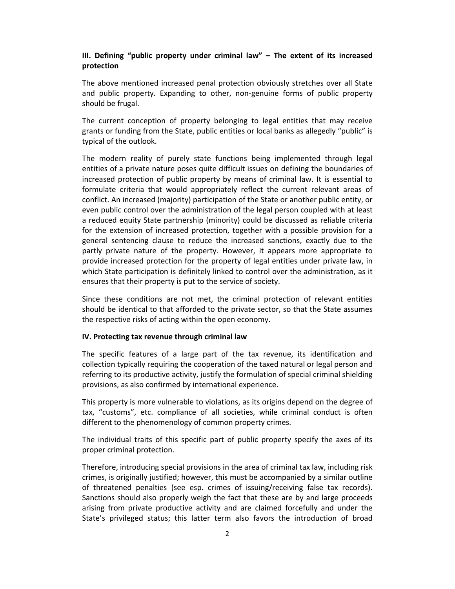### **ΙΙΙ. Defining "public property under criminal law" – The extent of its increased protection**

The above mentioned increased penal protection obviously stretches over all State and public property. Expanding to other, non‐genuine forms of public property should be frugal.

The current conception of property belonging to legal entities that may receive grants or funding from the State, public entities or local banks as allegedly "public" is typical of the outlook.

The modern reality of purely state functions being implemented through legal entities of a private nature poses quite difficult issues on defining the boundaries of increased protection of public property by means of criminal law. It is essential to formulate criteria that would appropriately reflect the current relevant areas of conflict. An increased (majority) participation of the State or another public entity, or even public control over the administration of the legal person coupled with at least a reduced equity State partnership (minority) could be discussed as reliable criteria for the extension of increased protection, together with a possible provision for a general sentencing clause to reduce the increased sanctions, exactly due to the partly private nature of the property. However, it appears more appropriate to provide increased protection for the property of legal entities under private law, in which State participation is definitely linked to control over the administration, as it ensures that their property is put to the service of society.

Since these conditions are not met, the criminal protection of relevant entities should be identical to that afforded to the private sector, so that the State assumes the respective risks of acting within the open economy.

### **ΙV. Protecting tax revenue through criminal law**

The specific features of a large part of the tax revenue, its identification and collection typically requiring the cooperation of the taxed natural or legal person and referring to its productive activity, justify the formulation of special criminal shielding provisions, as also confirmed by international experience.

This property is more vulnerable to violations, as its origins depend on the degree of tax, "customs", etc. compliance of all societies, while criminal conduct is often different to the phenomenology of common property crimes.

The individual traits of this specific part of public property specify the axes of its proper criminal protection.

Therefore, introducing special provisions in the area of criminal tax law, including risk crimes, is originally justified; however, this must be accompanied by a similar outline of threatened penalties (see esp. crimes of issuing/receiving false tax records). Sanctions should also properly weigh the fact that these are by and large proceeds arising from private productive activity and are claimed forcefully and under the State's privileged status; this latter term also favors the introduction of broad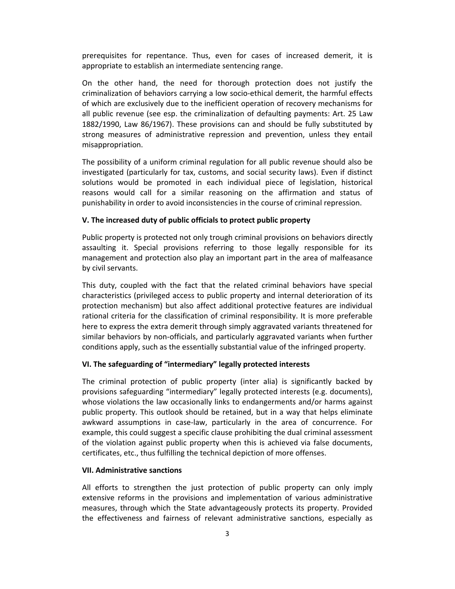prerequisites for repentance. Thus, even for cases of increased demerit, it is appropriate to establish an intermediate sentencing range.

On the other hand, the need for thorough protection does not justify the criminalization of behaviors carrying a low socio‐ethical demerit, the harmful effects of which are exclusively due to the inefficient operation of recovery mechanisms for all public revenue (see esp. the criminalization of defaulting payments: Art. 25 Law 1882/1990, Law 86/1967). These provisions can and should be fully substituted by strong measures of administrative repression and prevention, unless they entail misappropriation.

The possibility of a uniform criminal regulation for all public revenue should also be investigated (particularly for tax, customs, and social security laws). Even if distinct solutions would be promoted in each individual piece of legislation, historical reasons would call for a similar reasoning on the affirmation and status of punishability in order to avoid inconsistencies in the course of criminal repression.

### **V. The increased duty of public officials to protect public property**

Public property is protected not only trough criminal provisions on behaviors directly assaulting it. Special provisions referring to those legally responsible for its management and protection also play an important part in the area of malfeasance by civil servants.

This duty, coupled with the fact that the related criminal behaviors have special characteristics (privileged access to public property and internal deterioration of its protection mechanism) but also affect additional protective features are individual rational criteria for the classification of criminal responsibility. It is more preferable here to express the extra demerit through simply aggravated variants threatened for similar behaviors by non‐officials, and particularly aggravated variants when further conditions apply, such as the essentially substantial value of the infringed property.

#### **VI. The safeguarding of "intermediary" legally protected interests**

The criminal protection of public property (inter alia) is significantly backed by provisions safeguarding "intermediary" legally protected interests (e.g. documents), whose violations the law occasionally links to endangerments and/or harms against public property. This outlook should be retained, but in a way that helps eliminate awkward assumptions in case‐law, particularly in the area of concurrence. For example, this could suggest a specific clause prohibiting the dual criminal assessment of the violation against public property when this is achieved via false documents, certificates, etc., thus fulfilling the technical depiction of more offenses.

### **VIΙ. Administrative sanctions**

All efforts to strengthen the just protection of public property can only imply extensive reforms in the provisions and implementation of various administrative measures, through which the State advantageously protects its property. Provided the effectiveness and fairness of relevant administrative sanctions, especially as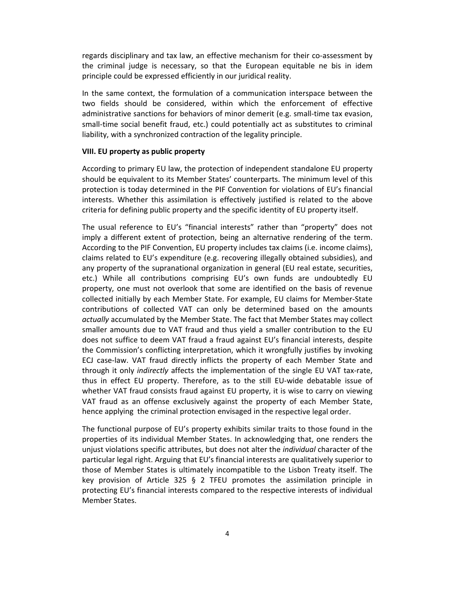regards disciplinary and tax law, an effective mechanism for their co-assessment by the criminal judge is necessary, so that the European equitable ne bis in idem principle could be expressed efficiently in our juridical reality.

In the same context, the formulation of a communication interspace between the two fields should be considered, within which the enforcement of effective administrative sanctions for behaviors of minor demerit (e.g. small‐time tax evasion, small-time social benefit fraud, etc.) could potentially act as substitutes to criminal liability, with a synchronized contraction of the legality principle.

#### **VIII. EU property as public property**

According to primary EU law, the protection of independent standalone EU property should be equivalent to its Member States' counterparts. The minimum level of this protection is today determined in the PIF Convention for violations of EU's financial interests. Whether this assimilation is effectively justified is related to the above criteria for defining public property and the specific identity of EU property itself.

The usual reference to EU's "financial interests" rather than "property" does not imply a different extent of protection, being an alternative rendering of the term. According to the PIF Convention, EU property includes tax claims (i.e. income claims), claims related to EU's expenditure (e.g. recovering illegally obtained subsidies), and any property of the supranational organization in general (EU real estate, securities, etc.) While all contributions comprising EU's own funds are undoubtedly EU property, one must not overlook that some are identified on the basis of revenue collected initially by each Member State. For example, EU claims for Member‐State contributions of collected VAT can only be determined based on the amounts *actually* accumulated by the Member State. The fact that Member States may collect smaller amounts due to VAT fraud and thus yield a smaller contribution to the EU does not suffice to deem VAT fraud a fraud against EU's financial interests, despite the Commission's conflicting interpretation, which it wrongfully justifies by invoking ECJ case‐law. VAT fraud directly inflicts the property of each Member State and through it only *indirectly* affects the implementation of the single EU VAT tax‐rate, thus in effect EU property. Therefore, as to the still EU‐wide debatable issue of whether VAT fraud consists fraud against EU property, it is wise to carry on viewing VAT fraud as an offense exclusively against the property of each Member State, hence applying the criminal protection envisaged in the respective legal order.

The functional purpose of EU's property exhibits similar traits to those found in the properties of its individual Member States. In acknowledging that, one renders the unjust violations specific attributes, but does not alter the *individual* character of the particular legal right. Arguing that EU's financial interests are qualitatively superior to those of Member States is ultimately incompatible to the Lisbon Treaty itself. The key provision of Article 325 § 2 TFEU promotes the assimilation principle in protecting EU's financial interests compared to the respective interests of individual Member States.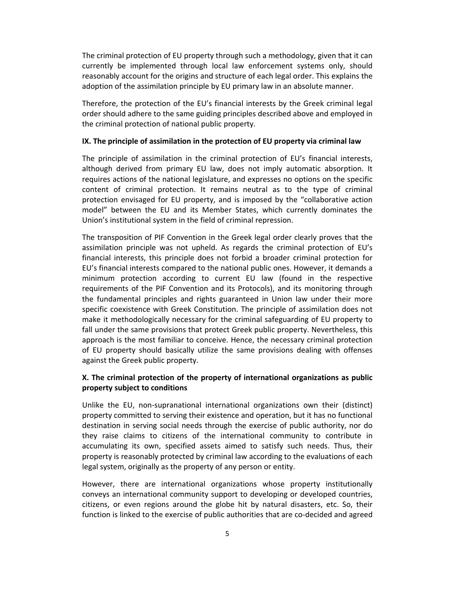The criminal protection of EU property through such a methodology, given that it can currently be implemented through local law enforcement systems only, should reasonably account for the origins and structure of each legal order. This explains the adoption of the assimilation principle by EU primary law in an absolute manner.

Therefore, the protection of the EU's financial interests by the Greek criminal legal order should adhere to the same guiding principles described above and employed in the criminal protection of national public property.

#### **IX. The principle of assimilation in the protection of EU property via criminal law**

The principle of assimilation in the criminal protection of EU's financial interests, although derived from primary EU law, does not imply automatic absorption. It requires actions of the national legislature, and expresses no options on the specific content of criminal protection. It remains neutral as to the type of criminal protection envisaged for EU property, and is imposed by the "collaborative action model" between the EU and its Member States, which currently dominates the Union's institutional system in the field of criminal repression.

The transposition of PIF Convention in the Greek legal order clearly proves that the assimilation principle was not upheld. As regards the criminal protection of EU's financial interests, this principle does not forbid a broader criminal protection for EU's financial interests compared to the national public ones. However, it demands a minimum protection according to current EU law (found in the respective requirements of the PIF Convention and its Protocols), and its monitoring through the fundamental principles and rights guaranteed in Union law under their more specific coexistence with Greek Constitution. The principle of assimilation does not make it methodologically necessary for the criminal safeguarding of EU property to fall under the same provisions that protect Greek public property. Nevertheless, this approach is the most familiar to conceive. Hence, the necessary criminal protection of EU property should basically utilize the same provisions dealing with offenses against the Greek public property.

### **X. The criminal protection of the property of international organizations as public property subject to conditions**

Unlike the EU, non‐supranational international organizations own their (distinct) property committed to serving their existence and operation, but it has no functional destination in serving social needs through the exercise of public authority, nor do they raise claims to citizens of the international community to contribute in accumulating its own, specified assets aimed to satisfy such needs. Thus, their property is reasonably protected by criminal law according to the evaluations of each legal system, originally as the property of any person or entity.

However, there are international organizations whose property institutionally conveys an international community support to developing or developed countries, citizens, or even regions around the globe hit by natural disasters, etc. So, their function is linked to the exercise of public authorities that are co-decided and agreed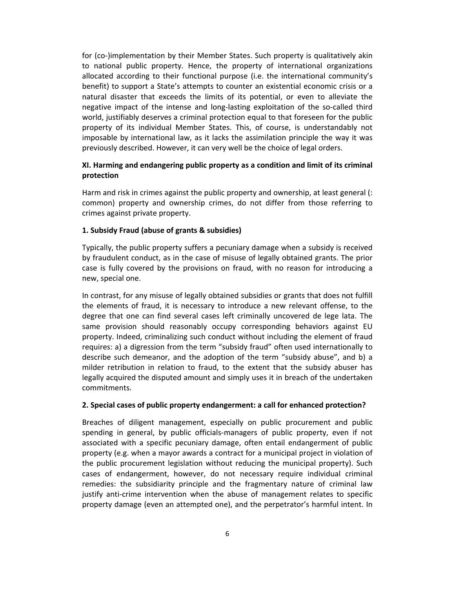for (co-)implementation by their Member States. Such property is qualitatively akin to national public property. Hence, the property of international organizations allocated according to their functional purpose (i.e. the international community's benefit) to support a State's attempts to counter an existential economic crisis or a natural disaster that exceeds the limits of its potential, or even to alleviate the negative impact of the intense and long-lasting exploitation of the so-called third world, justifiably deserves a criminal protection equal to that foreseen for the public property of its individual Member States. This, of course, is understandably not imposable by international law, as it lacks the assimilation principle the way it was previously described. However, it can very well be the choice of legal orders.

### **XI. Harming and endangering public property as a condition and limit of its criminal protection**

Harm and risk in crimes against the public property and ownership, at least general (: common) property and ownership crimes, do not differ from those referring to crimes against private property.

### **1. Subsidy Fraud (abuse of grants & subsidies)**

Typically, the public property suffers a pecuniary damage when a subsidy is received by fraudulent conduct, as in the case of misuse of legally obtained grants. The prior case is fully covered by the provisions on fraud, with no reason for introducing a new, special one.

In contrast, for any misuse of legally obtained subsidies or grants that does not fulfill the elements of fraud, it is necessary to introduce a new relevant offense, to the degree that one can find several cases left criminally uncovered de lege lata. The same provision should reasonably occupy corresponding behaviors against EU property. Indeed, criminalizing such conduct without including the element of fraud requires: a) a digression from the term "subsidy fraud" often used internationally to describe such demeanor, and the adoption of the term "subsidy abuse", and b) a milder retribution in relation to fraud, to the extent that the subsidy abuser has legally acquired the disputed amount and simply uses it in breach of the undertaken commitments.

#### **2. Special cases of public property endangerment: a call for enhanced protection?**

Breaches of diligent management, especially on public procurement and public spending in general, by public officials‐managers of public property, even if not associated with a specific pecuniary damage, often entail endangerment of public property (e.g. when a mayor awards a contract for a municipal project in violation of the public procurement legislation without reducing the municipal property). Such cases of endangerment, however, do not necessary require individual criminal remedies: the subsidiarity principle and the fragmentary nature of criminal law justify anti-crime intervention when the abuse of management relates to specific property damage (even an attempted one), and the perpetrator's harmful intent. In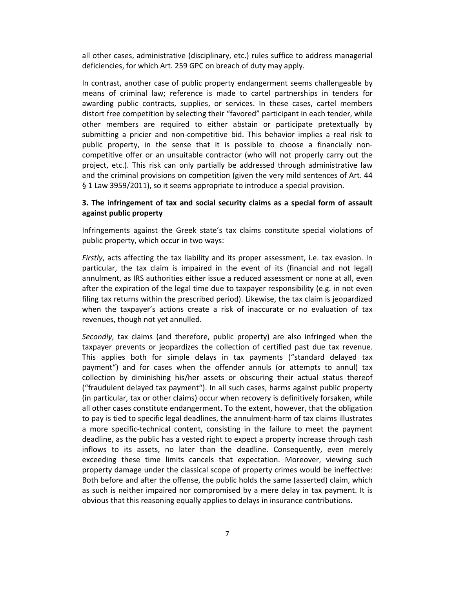all other cases, administrative (disciplinary, etc.) rules suffice to address managerial deficiencies, for which Art. 259 GPC on breach of duty may apply.

In contrast, another case of public property endangerment seems challengeable by means of criminal law; reference is made to cartel partnerships in tenders for awarding public contracts, supplies, or services. In these cases, cartel members distort free competition by selecting their "favored" participant in each tender, while other members are required to either abstain or participate pretextually by submitting a pricier and non‐competitive bid. This behavior implies a real risk to public property, in the sense that it is possible to choose a financially non‐ competitive offer or an unsuitable contractor (who will not properly carry out the project, etc.). This risk can only partially be addressed through administrative law and the criminal provisions on competition (given the very mild sentences of Art. 44 § 1 Law 3959/2011), so it seems appropriate to introduce a special provision.

### **3. The infringement of tax and social security claims as a special form of assault against public property**

Infringements against the Greek state's tax claims constitute special violations of public property, which occur in two ways:

*Firstly*, acts affecting the tax liability and its proper assessment, i.e. tax evasion. In particular, the tax claim is impaired in the event of its (financial and not legal) annulment, as IRS authorities either issue a reduced assessment or none at all, even after the expiration of the legal time due to taxpayer responsibility (e.g. in not even filing tax returns within the prescribed period). Likewise, the tax claim is jeopardized when the taxpayer's actions create a risk of inaccurate or no evaluation of tax revenues, though not yet annulled.

*Secondly*, tax claims (and therefore, public property) are also infringed when the taxpayer prevents or jeopardizes the collection of certified past due tax revenue. This applies both for simple delays in tax payments ("standard delayed tax payment") and for cases when the offender annuls (or attempts to annul) tax collection by diminishing his/her assets or obscuring their actual status thereof ("fraudulent delayed tax payment"). In all such cases, harms against public property (in particular, tax or other claims) occur when recovery is definitively forsaken, while all other cases constitute endangerment. To the extent, however, that the obligation to pay is tied to specific legal deadlines, the annulment‐harm of tax claims illustrates a more specific-technical content, consisting in the failure to meet the payment deadline, as the public has a vested right to expect a property increase through cash inflows to its assets, no later than the deadline. Consequently, even merely exceeding these time limits cancels that expectation. Moreover, viewing such property damage under the classical scope of property crimes would be ineffective: Both before and after the offense, the public holds the same (asserted) claim, which as such is neither impaired nor compromised by a mere delay in tax payment. It is obvious that this reasoning equally applies to delays in insurance contributions.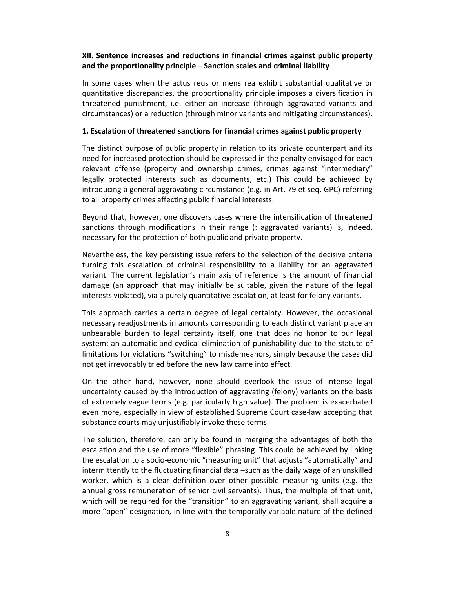### **XII. Sentence increases and reductions in financial crimes against public property and the proportionality principle – Sanction scales and criminal liability**

In some cases when the actus reus or mens rea exhibit substantial qualitative or quantitative discrepancies, the proportionality principle imposes a diversification in threatened punishment, i.e. either an increase (through aggravated variants and circumstances) or a reduction (through minor variants and mitigating circumstances).

#### **1. Escalation of threatened sanctions for financial crimes against public property**

The distinct purpose of public property in relation to its private counterpart and its need for increased protection should be expressed in the penalty envisaged for each relevant offense (property and ownership crimes, crimes against "intermediary" legally protected interests such as documents, etc.) This could be achieved by introducing a general aggravating circumstance (e.g. in Art. 79 et seq. GPC) referring to all property crimes affecting public financial interests.

Beyond that, however, one discovers cases where the intensification of threatened sanctions through modifications in their range (: aggravated variants) is, indeed, necessary for the protection of both public and private property.

Nevertheless, the key persisting issue refers to the selection of the decisive criteria turning this escalation of criminal responsibility to a liability for an aggravated variant. The current legislation's main axis of reference is the amount of financial damage (an approach that may initially be suitable, given the nature of the legal interests violated), via a purely quantitative escalation, at least for felony variants.

This approach carries a certain degree of legal certainty. However, the occasional necessary readjustments in amounts corresponding to each distinct variant place an unbearable burden to legal certainty itself, one that does no honor to our legal system: an automatic and cyclical elimination of punishability due to the statute of limitations for violations "switching" to misdemeanors, simply because the cases did not get irrevocably tried before the new law came into effect.

On the other hand, however, none should overlook the issue of intense legal uncertainty caused by the introduction of aggravating (felony) variants on the basis of extremely vague terms (e.g. particularly high value). The problem is exacerbated even more, especially in view of established Supreme Court case-law accepting that substance courts may unjustifiably invoke these terms.

The solution, therefore, can only be found in merging the advantages of both the escalation and the use of more "flexible" phrasing. This could be achieved by linking the escalation to a socio‐economic "measuring unit" that adjusts "automatically" and intermittently to the fluctuating financial data –such as the daily wage of an unskilled worker, which is a clear definition over other possible measuring units (e.g. the annual gross remuneration of senior civil servants). Thus, the multiple of that unit, which will be required for the "transition" to an aggravating variant, shall acquire a more "open" designation, in line with the temporally variable nature of the defined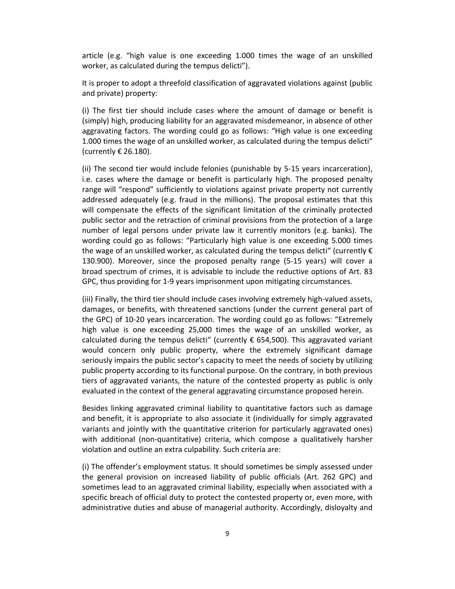article (e.g. "high value is one exceeding 1.000 times the wage of an unskilled worker, as calculated during the tempus delicti").

It is proper to adopt a threefold classification of aggravated violations against (public and private) property:

(i) The first tier should include cases where the amount of damage or benefit is (simply) high, producing liability for an aggravated misdemeanor, in absence of other aggravating factors. The wording could go as follows: "High value is one exceeding 1.000 times the wage of an unskilled worker, as calculated during the tempus delicti" (currently € 26.180).

(ii) The second tier would include felonies (punishable by 5‐15 years incarceration), i.e. cases where the damage or benefit is particularly high. The proposed penalty range will "respond" sufficiently to violations against private property not currently addressed adequately (e.g. fraud in the millions). The proposal estimates that this will compensate the effects of the significant limitation of the criminally protected public sector and the retraction of criminal provisions from the protection of a large number of legal persons under private law it currently monitors (e.g. banks). The wording could go as follows: "Particularly high value is one exceeding 5.000 times the wage of an unskilled worker, as calculated during the tempus delicti" (currently  $\epsilon$ 130.900). Moreover, since the proposed penalty range (5‐15 years) will cover a broad spectrum of crimes, it is advisable to include the reductive options of Art. 83 GPC, thus providing for 1‐9 years imprisonment upon mitigating circumstances.

(iii) Finally, the third tier should include cases involving extremely high‐valued assets, damages, or benefits, with threatened sanctions (under the current general part of the GPC) of 10‐20 years incarceration. The wording could go as follows: "Extremely high value is one exceeding 25,000 times the wage of an unskilled worker, as calculated during the tempus delicti" (currently  $\epsilon$  654,500). This aggravated variant would concern only public property, where the extremely significant damage seriously impairs the public sector's capacity to meet the needs of society by utilizing public property according to its functional purpose. On the contrary, in both previous tiers of aggravated variants, the nature of the contested property as public is only evaluated in the context of the general aggravating circumstance proposed herein.

Besides linking aggravated criminal liability to quantitative factors such as damage and benefit, it is appropriate to also associate it (individually for simply aggravated variants and jointly with the quantitative criterion for particularly aggravated ones) with additional (non-quantitative) criteria, which compose a qualitatively harsher violation and outline an extra culpability. Such criteria are:

(i) The offender's employment status. It should sometimes be simply assessed under the general provision on increased liability of public officials (Art. 262 GPC) and sometimes lead to an aggravated criminal liability, especially when associated with a specific breach of official duty to protect the contested property or, even more, with administrative duties and abuse of managerial authority. Accordingly, disloyalty and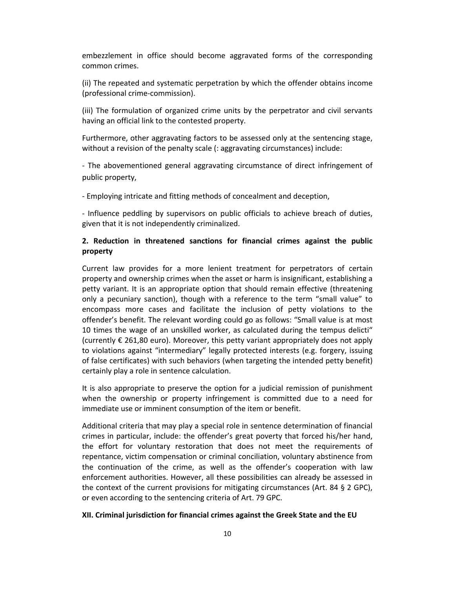embezzlement in office should become aggravated forms of the corresponding common crimes.

(ii) The repeated and systematic perpetration by which the offender obtains income (professional crime‐commission).

(iii) The formulation of organized crime units by the perpetrator and civil servants having an official link to the contested property.

Furthermore, other aggravating factors to be assessed only at the sentencing stage, without a revision of the penalty scale (: aggravating circumstances) include:

‐ The abovementioned general aggravating circumstance of direct infringement of public property,

‐ Employing intricate and fitting methods of concealment and deception,

‐ Influence peddling by supervisors on public officials to achieve breach of duties, given that it is not independently criminalized.

## **2. Reduction in threatened sanctions for financial crimes against the public property**

Current law provides for a more lenient treatment for perpetrators of certain property and ownership crimes when the asset or harm is insignificant, establishing a petty variant. It is an appropriate option that should remain effective (threatening only a pecuniary sanction), though with a reference to the term "small value" to encompass more cases and facilitate the inclusion of petty violations to the offender's benefit. The relevant wording could go as follows: "Small value is at most 10 times the wage of an unskilled worker, as calculated during the tempus delicti" (currently  $\epsilon$  261,80 euro). Moreover, this petty variant appropriately does not apply to violations against "intermediary" legally protected interests (e.g. forgery, issuing of false certificates) with such behaviors (when targeting the intended petty benefit) certainly play a role in sentence calculation.

It is also appropriate to preserve the option for a judicial remission of punishment when the ownership or property infringement is committed due to a need for immediate use or imminent consumption of the item or benefit.

Additional criteria that may play a special role in sentence determination of financial crimes in particular, include: the offender's great poverty that forced his/her hand, the effort for voluntary restoration that does not meet the requirements of repentance, victim compensation or criminal conciliation, voluntary abstinence from the continuation of the crime, as well as the offender's cooperation with law enforcement authorities. However, all these possibilities can already be assessed in the context of the current provisions for mitigating circumstances (Art. 84 § 2 GPC), or even according to the sentencing criteria of Art. 79 GPC.

### **XII. Criminal jurisdiction for financial crimes against the Greek State and the EU**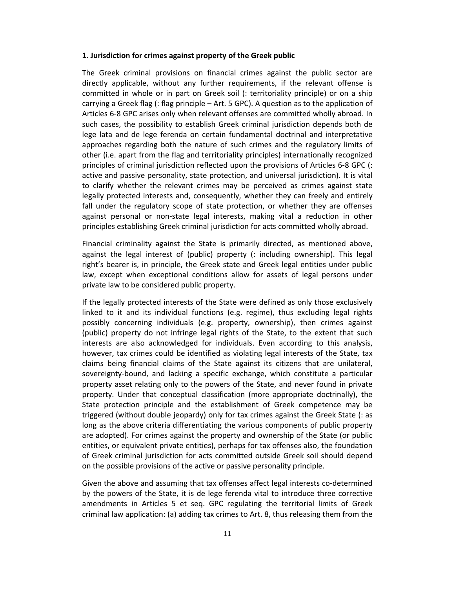#### **1. Jurisdiction for crimes against property of the Greek public**

The Greek criminal provisions on financial crimes against the public sector are directly applicable, without any further requirements, if the relevant offense is committed in whole or in part on Greek soil (: territoriality principle) or on a ship carrying a Greek flag (: flag principle – Art. 5 GPC). A question as to the application of Articles 6‐8 GPC arises only when relevant offenses are committed wholly abroad. In such cases, the possibility to establish Greek criminal jurisdiction depends both de lege lata and de lege ferenda on certain fundamental doctrinal and interpretative approaches regarding both the nature of such crimes and the regulatory limits of other (i.e. apart from the flag and territoriality principles) internationally recognized principles of criminal jurisdiction reflected upon the provisions of Articles 6‐8 GPC (: active and passive personality, state protection, and universal jurisdiction). It is vital to clarify whether the relevant crimes may be perceived as crimes against state legally protected interests and, consequently, whether they can freely and entirely fall under the regulatory scope of state protection, or whether they are offenses against personal or non‐state legal interests, making vital a reduction in other principles establishing Greek criminal jurisdiction for acts committed wholly abroad.

Financial criminality against the State is primarily directed, as mentioned above, against the legal interest of (public) property (: including ownership). This legal right's bearer is, in principle, the Greek state and Greek legal entities under public law, except when exceptional conditions allow for assets of legal persons under private law to be considered public property.

If the legally protected interests of the State were defined as only those exclusively linked to it and its individual functions (e.g. regime), thus excluding legal rights possibly concerning individuals (e.g. property, ownership), then crimes against (public) property do not infringe legal rights of the State, to the extent that such interests are also acknowledged for individuals. Even according to this analysis, however, tax crimes could be identified as violating legal interests of the State, tax claims being financial claims of the State against its citizens that are unilateral, sovereignty‐bound, and lacking a specific exchange, which constitute a particular property asset relating only to the powers of the State, and never found in private property. Under that conceptual classification (more appropriate doctrinally), the State protection principle and the establishment of Greek competence may be triggered (without double jeopardy) only for tax crimes against the Greek State (: as long as the above criteria differentiating the various components of public property are adopted). For crimes against the property and ownership of the State (or public entities, or equivalent private entities), perhaps for tax offenses also, the foundation of Greek criminal jurisdiction for acts committed outside Greek soil should depend on the possible provisions of the active or passive personality principle.

Given the above and assuming that tax offenses affect legal interests co-determined by the powers of the State, it is de lege ferenda vital to introduce three corrective amendments in Articles 5 et seq. GPC regulating the territorial limits of Greek criminal law application: (a) adding tax crimes to Art. 8, thus releasing them from the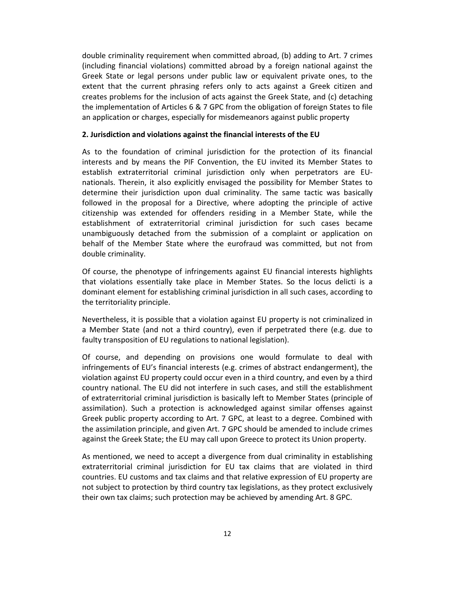double criminality requirement when committed abroad, (b) adding to Art. 7 crimes (including financial violations) committed abroad by a foreign national against the Greek State or legal persons under public law or equivalent private ones, to the extent that the current phrasing refers only to acts against a Greek citizen and creates problems for the inclusion of acts against the Greek State, and (c) detaching the implementation of Articles 6 & 7 GPC from the obligation of foreign States to file an application or charges, especially for misdemeanors against public property

### **2. Jurisdiction and violations against the financial interests of the EU**

As to the foundation of criminal jurisdiction for the protection of its financial interests and by means the PIF Convention, the EU invited its Member States to establish extraterritorial criminal jurisdiction only when perpetrators are EU‐ nationals. Therein, it also explicitly envisaged the possibility for Member States to determine their jurisdiction upon dual criminality. The same tactic was basically followed in the proposal for a Directive, where adopting the principle of active citizenship was extended for offenders residing in a Member State, while the establishment of extraterritorial criminal jurisdiction for such cases became unambiguously detached from the submission of a complaint or application on behalf of the Member State where the eurofraud was committed, but not from double criminality.

Of course, the phenotype of infringements against EU financial interests highlights that violations essentially take place in Member States. So the locus delicti is a dominant element for establishing criminal jurisdiction in all such cases, according to the territoriality principle.

Nevertheless, it is possible that a violation against EU property is not criminalized in a Member State (and not a third country), even if perpetrated there (e.g. due to faulty transposition of EU regulations to national legislation).

Of course, and depending on provisions one would formulate to deal with infringements of EU's financial interests (e.g. crimes of abstract endangerment), the violation against EU property could occur even in a third country, and even by a third country national. The EU did not interfere in such cases, and still the establishment of extraterritorial criminal jurisdiction is basically left to Member States (principle of assimilation). Such a protection is acknowledged against similar offenses against Greek public property according to Art. 7 GPC, at least to a degree. Combined with the assimilation principle, and given Art. 7 GPC should be amended to include crimes against the Greek State; the EU may call upon Greece to protect its Union property.

As mentioned, we need to accept a divergence from dual criminality in establishing extraterritorial criminal jurisdiction for EU tax claims that are violated in third countries. EU customs and tax claims and that relative expression of EU property are not subject to protection by third country tax legislations, as they protect exclusively their own tax claims; such protection may be achieved by amending Art. 8 GPC.